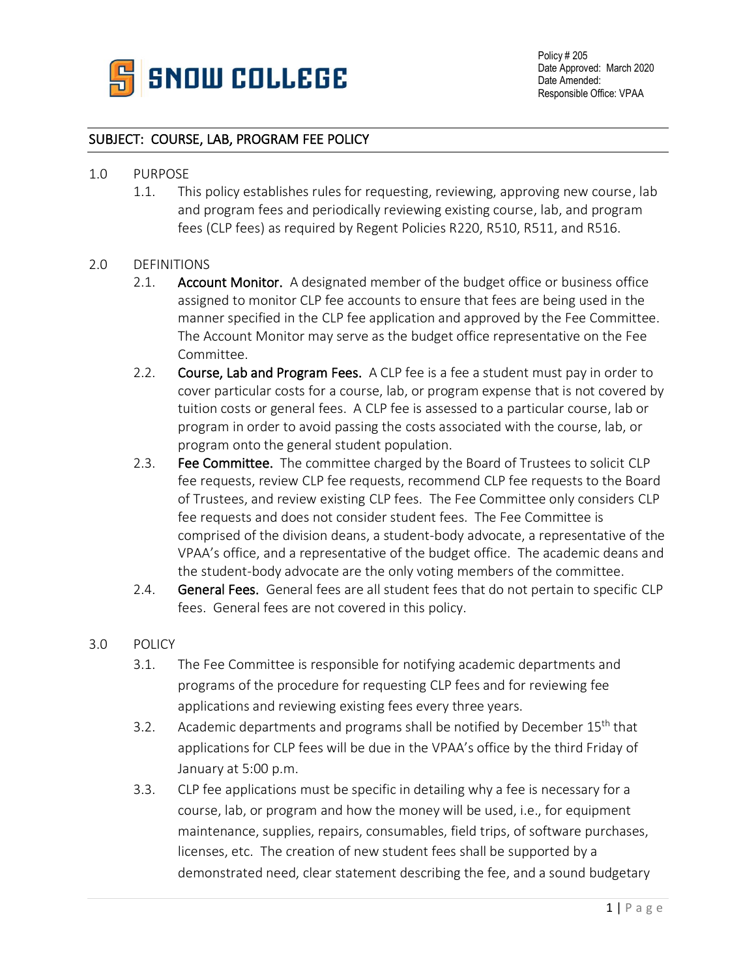

## SUBJECT: COURSE, LAB, PROGRAM FEE POLICY

#### 1.0 PURPOSE

1.1. This policy establishes rules for requesting, reviewing, approving new course, lab and program fees and periodically reviewing existing course, lab, and program fees (CLP fees) as required by Regent Policies R220, R510, R511, and R516.

### 2.0 DEFINITIONS

- 2.1. Account Monitor. A designated member of the budget office or business office assigned to monitor CLP fee accounts to ensure that fees are being used in the manner specified in the CLP fee application and approved by the Fee Committee. The Account Monitor may serve as the budget office representative on the Fee Committee.
- 2.2. Course, Lab and Program Fees. A CLP fee is a fee a student must pay in order to cover particular costs for a course, lab, or program expense that is not covered by tuition costs or general fees. A CLP fee is assessed to a particular course, lab or program in order to avoid passing the costs associated with the course, lab, or program onto the general student population.
- 2.3. Fee Committee. The committee charged by the Board of Trustees to solicit CLP fee requests, review CLP fee requests, recommend CLP fee requests to the Board of Trustees, and review existing CLP fees. The Fee Committee only considers CLP fee requests and does not consider student fees. The Fee Committee is comprised of the division deans, a student-body advocate, a representative of the VPAA's office, and a representative of the budget office. The academic deans and the student-body advocate are the only voting members of the committee.
- 2.4. General Fees. General fees are all student fees that do not pertain to specific CLP fees. General fees are not covered in this policy.

### 3.0 POLICY

- 3.1. The Fee Committee is responsible for notifying academic departments and programs of the procedure for requesting CLP fees and for reviewing fee applications and reviewing existing fees every three years.
- 3.2. Academic departments and programs shall be notified by December 15<sup>th</sup> that applications for CLP fees will be due in the VPAA's office by the third Friday of January at 5:00 p.m.
- 3.3. CLP fee applications must be specific in detailing why a fee is necessary for a course, lab, or program and how the money will be used, i.e., for equipment maintenance, supplies, repairs, consumables, field trips, of software purchases, licenses, etc. The creation of new student fees shall be supported by a demonstrated need, clear statement describing the fee, and a sound budgetary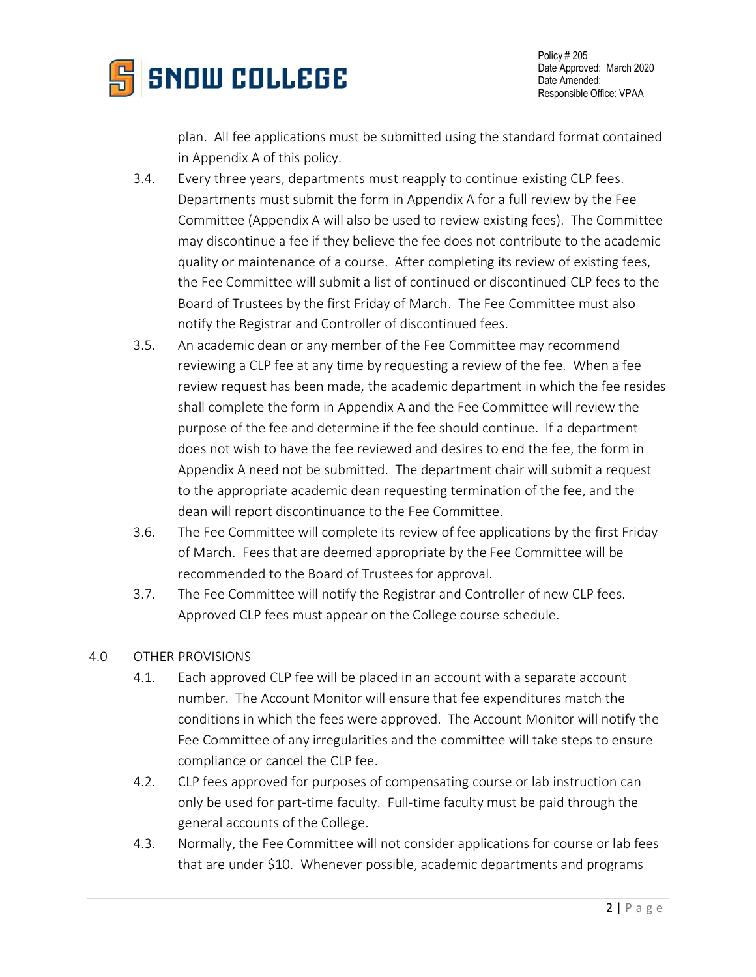

Policy # 205 Date Approved: March 2020 Date Amended: Responsible Office: VPAA

plan. All fee applications must be submitted using the standard format contained in Appendix A of this policy.

- 3.4. Every three years, departments must reapply to continue existing CLP fees. Departments must submit the form in Appendix A for a full review by the Fee Committee (Appendix A will also be used to review existing fees). The Committee may discontinue a fee if they believe the fee does not contribute to the academic quality or maintenance of a course. After completing its review of existing fees, the Fee Committee will submit a list of continued or discontinued CLP fees to the Board of Trustees by the first Friday of March. The Fee Committee must also notify the Registrar and Controller of discontinued fees.
- 3.5. An academic dean or any member of the Fee Committee may recommend reviewing a CLP fee at any time by requesting a review of the fee. When a fee review request has been made, the academic department in which the fee resides shall complete the form in Appendix A and the Fee Committee will review the purpose of the fee and determine if the fee should continue. If a department does not wish to have the fee reviewed and desires to end the fee, the form in Appendix A need not be submitted. The department chair will submit a request to the appropriate academic dean requesting termination of the fee, and the dean will report discontinuance to the Fee Committee.
- 3.6. The Fee Committee will complete its review of fee applications by the first Friday of March. Fees that are deemed appropriate by the Fee Committee will be recommended to the Board of Trustees for approval.
- 3.7. The Fee Committee will notify the Registrar and Controller of new CLP fees. Approved CLP fees must appear on the College course schedule.

### 4.0 OTHER PROVISIONS

- 4.1. Each approved CLP fee will be placed in an account with a separate account number. The Account Monitor will ensure that fee expenditures match the conditions in which the fees were approved. The Account Monitor will notify the Fee Committee of any irregularities and the committee will take steps to ensure compliance or cancel the CLP fee.
- 4.2. CLP fees approved for purposes of compensating course or lab instruction can only be used for part-time faculty. Full-time faculty must be paid through the general accounts of the College.
- 4.3. Normally, the Fee Committee will not consider applications for course or lab fees that are under \$10. Whenever possible, academic departments and programs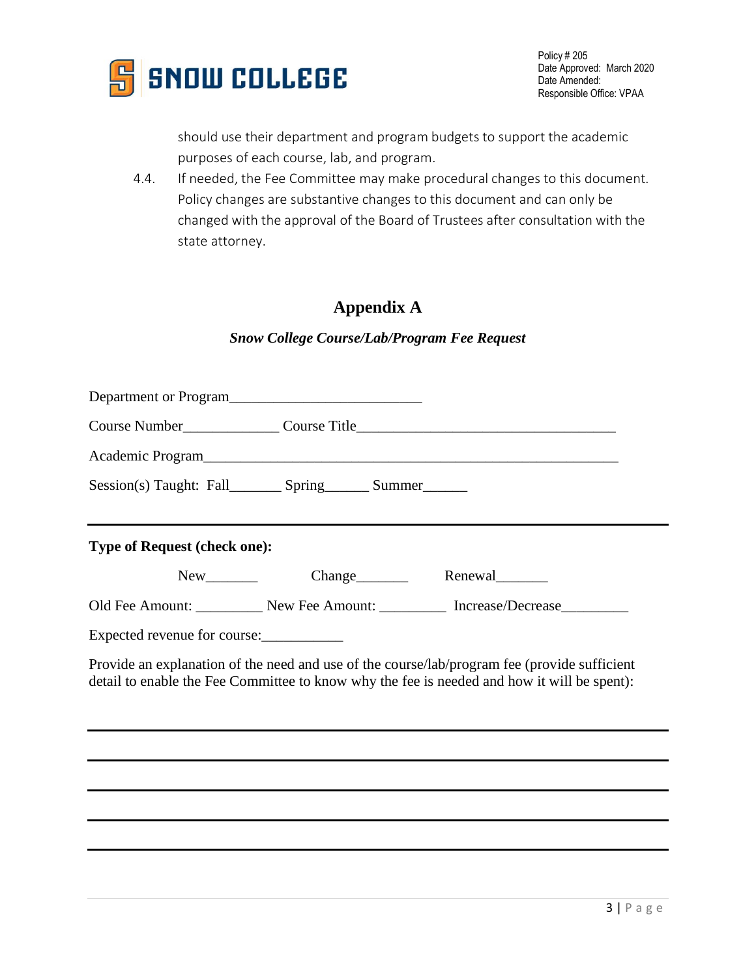

should use their department and program budgets to support the academic purposes of each course, lab, and program.

4.4. If needed, the Fee Committee may make procedural changes to this document. Policy changes are substantive changes to this document and can only be changed with the approval of the Board of Trustees after consultation with the state attorney.

# **Appendix A**

## *Snow College Course/Lab/Program Fee Request*

| Department or Program                                            |                    |  |                                                                                                                                                                                             |
|------------------------------------------------------------------|--------------------|--|---------------------------------------------------------------------------------------------------------------------------------------------------------------------------------------------|
|                                                                  |                    |  |                                                                                                                                                                                             |
|                                                                  |                    |  | Academic Program                                                                                                                                                                            |
| Session(s) Taught: Fall__________ Spring_________ Summer________ |                    |  |                                                                                                                                                                                             |
| Type of Request (check one):                                     |                    |  |                                                                                                                                                                                             |
|                                                                  | New Change Renewal |  |                                                                                                                                                                                             |
|                                                                  |                    |  | Old Fee Amount: ____________ New Fee Amount: ____________ Increase/Decrease___________                                                                                                      |
| Expected revenue for course:                                     |                    |  |                                                                                                                                                                                             |
|                                                                  |                    |  | Provide an explanation of the need and use of the course/lab/program fee (provide sufficient<br>detail to enable the Fee Committee to know why the fee is needed and how it will be spent): |
|                                                                  |                    |  |                                                                                                                                                                                             |
|                                                                  |                    |  |                                                                                                                                                                                             |
|                                                                  |                    |  |                                                                                                                                                                                             |
|                                                                  |                    |  |                                                                                                                                                                                             |
|                                                                  |                    |  |                                                                                                                                                                                             |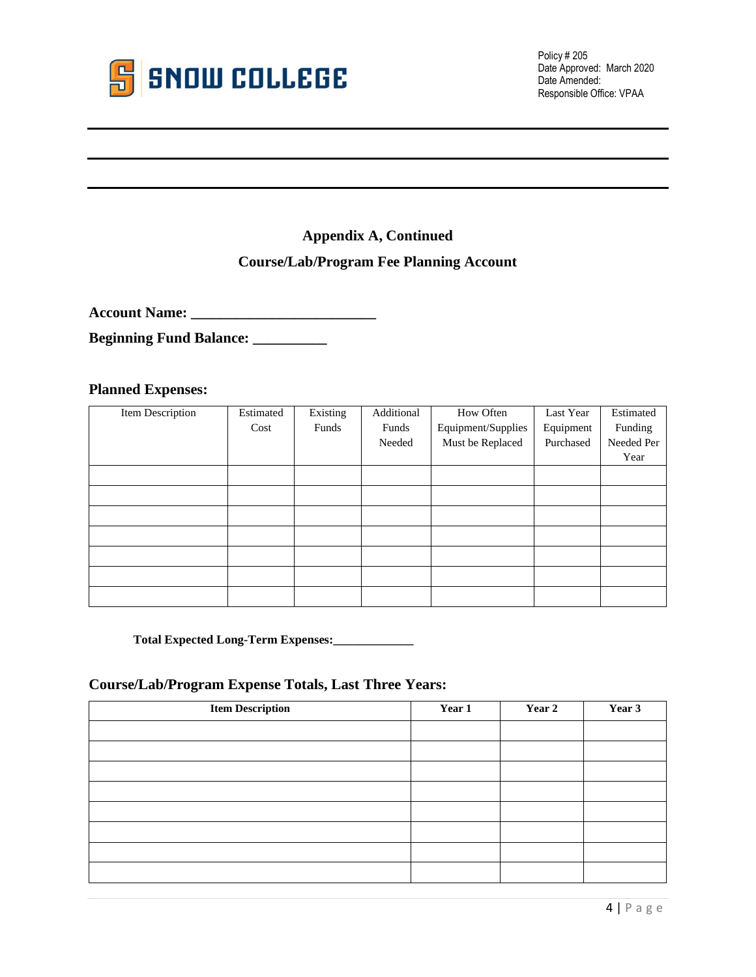

## **Appendix A, Continued**

## **Course/Lab/Program Fee Planning Account**

**Account Name: \_\_\_\_\_\_\_\_\_\_\_\_\_\_\_\_\_\_\_\_\_\_\_\_\_**

**Beginning Fund Balance: \_\_\_\_\_\_\_\_\_\_**

#### **Planned Expenses:**

| Item Description | Estimated | Existing | Additional | How Often          | Last Year | Estimated  |
|------------------|-----------|----------|------------|--------------------|-----------|------------|
|                  | Cost      | Funds    | Funds      | Equipment/Supplies | Equipment | Funding    |
|                  |           |          | Needed     | Must be Replaced   | Purchased | Needed Per |
|                  |           |          |            |                    |           | Year       |
|                  |           |          |            |                    |           |            |
|                  |           |          |            |                    |           |            |
|                  |           |          |            |                    |           |            |
|                  |           |          |            |                    |           |            |
|                  |           |          |            |                    |           |            |
|                  |           |          |            |                    |           |            |
|                  |           |          |            |                    |           |            |

**Total Expected Long-Term Expenses:\_\_\_\_\_\_\_\_\_\_\_\_\_**

## **Course/Lab/Program Expense Totals, Last Three Years:**

| <b>Item Description</b> | Year 1 | Year 2 | Year 3 |
|-------------------------|--------|--------|--------|
|                         |        |        |        |
|                         |        |        |        |
|                         |        |        |        |
|                         |        |        |        |
|                         |        |        |        |
|                         |        |        |        |
|                         |        |        |        |
|                         |        |        |        |